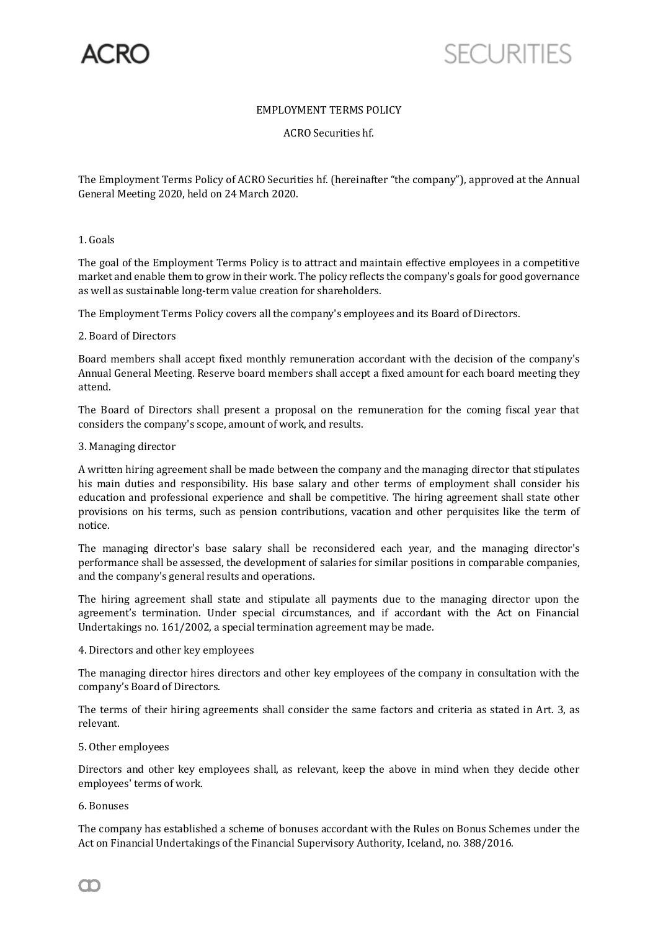

# EMPLOYMENT TERMS POLICY

ACRO Securities hf.

The Employment Terms Policy of ACRO Securities hf. (hereinafter "the company"), approved at the Annual General Meeting 2020, held on 24 March 2020.

## 1. Goals

The goal of the Employment Terms Policy is to attract and maintain effective employees in a competitive market and enable them to grow in their work. The policy reflects the company's goals for good governance as well as sustainable long-term value creation for shareholders.

The Employment Terms Policy covers all the company's employees and its Board of Directors.

## 2. Board of Directors

Board members shall accept fixed monthly remuneration accordant with the decision of the company's Annual General Meeting. Reserve board members shall accept a fixed amount for each board meeting they attend.

The Board of Directors shall present a proposal on the remuneration for the coming fiscal year that considers the company's scope, amount of work, and results.

### 3. Managing director

A written hiring agreement shall be made between the company and the managing director that stipulates his main duties and responsibility. His base salary and other terms of employment shall consider his education and professional experience and shall be competitive. The hiring agreement shall state other provisions on his terms, such as pension contributions, vacation and other perquisites like the term of notice.

The managing director's base salary shall be reconsidered each year, and the managing director's performance shall be assessed, the development of salaries for similar positions in comparable companies, and the company's general results and operations.

The hiring agreement shall state and stipulate all payments due to the managing director upon the agreement's termination. Under special circumstances, and if accordant with the Act on Financial Undertakings no. 161/2002, a special termination agreement may be made.

#### 4. Directors and other key employees

The managing director hires directors and other key employees of the company in consultation with the company's Board of Directors.

The terms of their hiring agreements shall consider the same factors and criteria as stated in Art. 3, as relevant.

## 5. Other employees

Directors and other key employees shall, as relevant, keep the above in mind when they decide other employees' terms of work.

## 6. Bonuses

The company has established a scheme of bonuses accordant with the Rules on Bonus Schemes under the Act on Financial Undertakings of the Financial Supervisory Authority, Iceland, no. 388/2016.